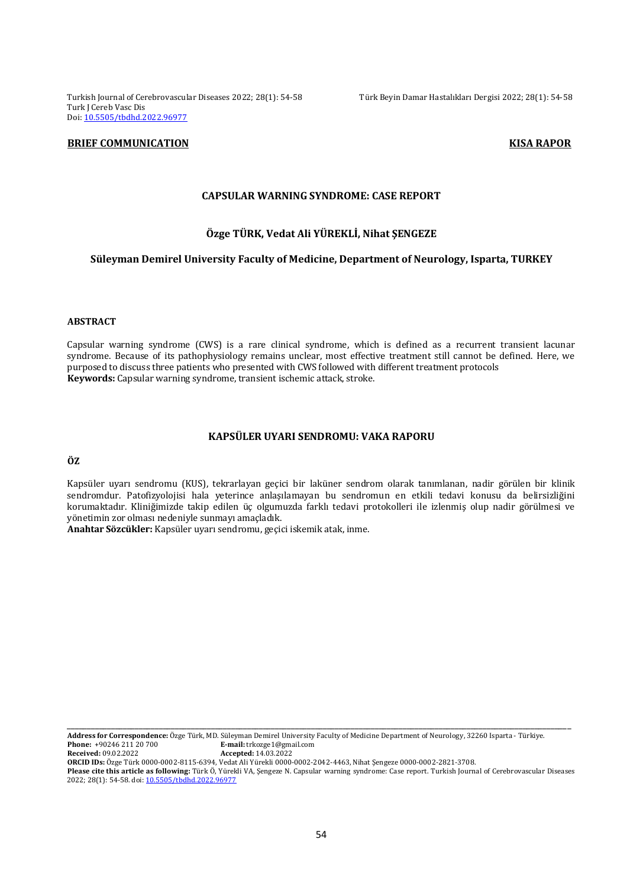Turkish Journal of Cerebrovascular Diseases 2022; 28(1): 54-58 Türk Beyin Damar Hastalıkları Dergisi 2022; 28(1): 54-58 Turk J Cereb Vasc Dis Doi: [10.5505/tbdhd.2022.96977](https://dx.doi.org/10.5505/tbdhd.2022.96977)

### **BRIEF COMMUNICATION EXISTENCIAL COMMUNICATION**

# **CAPSULAR WARNING SYNDROME: CASE REPORT**

## **Özge TÜRK, Vedat Ali YÜREKLİ, Nihat ŞENGEZE**

#### **Süleyman Demirel University Faculty of Medicine, Department of Neurology, Isparta, TURKEY**

#### **ABSTRACT**

Capsular warning syndrome (CWS) is a rare clinical syndrome, which is defined as a recurrent transient lacunar syndrome. Because of its pathophysiology remains unclear, most effective treatment still cannot be defined. Here, we purposed to discuss three patients who presented with CWS followed with different treatment protocols **Keywords:** Capsular warning syndrome, transient ischemic attack, stroke.

## **KAPSÜLER UYARI SENDROMU: VAKA RAPORU**

# **ÖZ**

Kapsüler uyarı sendromu (KUS), tekrarlayan geçici bir laküner sendrom olarak tanımlanan, nadir görülen bir klinik sendromdur. Patofizyolojisi hala yeterince anlaşılamayan bu sendromun en etkili tedavi konusu da belirsizliğini korumaktadır. Kliniğimizde takip edilen üç olgumuzda farklı tedavi protokolleri ile izlenmiş olup nadir görülmesi ve yönetimin zor olması nedeniyle sunmayı amaçladık.

**Anahtar Sözcükler:** Kapsüler uyarı sendromu, geçici iskemik atak, inme.

**Address for Correspondence:** Özge Türk, MD. Süleyman Demirel University Faculty of Medicine Department of Neurology, 32260 Isparta - Türkiye. **Phone:** +90246 211 20 700 **E-mail:** trkozge1@gmail.com<br> **Received:** 09.02.2022 **Accepted:** 14.03.2022 **Received:** 09.02.2022 **Accepted:** 14.03.2022

**ORCID IDs:** Özge Türk 0000-0002-8115-6394, Vedat Ali Yürekli 0000-0002-2042-4463, Nihat Şengeze 0000-0002-2821-3708.

**Please cite this article as following:** Türk Ö, Yürekli VA, Şengeze N. Capsular warning syndrome: Case report. Turkish Journal of Cerebrovascular Diseases 2022; 28(1): 54-58. doi[: 10.5505/tbdhd.2022.96977](https://dx.doi.org/10.5505/tbdhd.2022.96977)

\_\_\_\_\_\_\_\_\_\_\_\_\_\_\_\_\_\_\_\_\_\_\_\_\_\_\_\_\_\_\_\_\_\_\_\_\_\_\_\_\_\_\_\_\_\_\_\_\_\_\_\_\_\_\_\_\_\_\_\_\_\_\_\_\_\_\_\_\_\_\_\_\_\_\_\_\_\_\_\_\_\_\_\_\_\_\_\_\_\_\_\_\_\_\_\_\_\_\_\_\_\_\_\_\_\_\_\_\_\_\_\_\_\_\_\_\_\_\_\_\_\_\_\_\_\_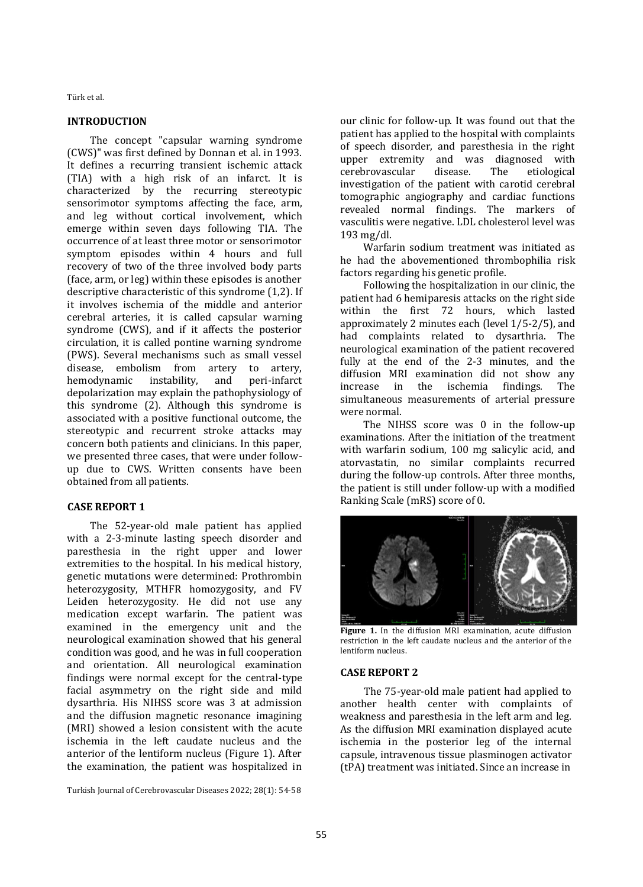Türk et al.

#### **INTRODUCTION**

The concept "capsular warning syndrome (CWS)" was first defined by Donnan et al. in 1993. It defines a recurring transient ischemic attack (TIA) with a high risk of an infarct. It is characterized by the recurring stereotypic sensorimotor symptoms affecting the face, arm, and leg without cortical involvement, which emerge within seven days following TIA. The occurrence of at least three motor or sensorimotor symptom episodes within 4 hours and full recovery of two of the three involved body parts (face, arm, or leg) within these episodes is another descriptive characteristic of this syndrome (1,2). If it involves ischemia of the middle and anterior cerebral arteries, it is called capsular warning syndrome (CWS), and if it affects the posterior circulation, it is called pontine warning syndrome (PWS). Several mechanisms such as small vessel disease, embolism from artery to artery, hemodynamic instability, and peri-infarct depolarization may explain the pathophysiology of this syndrome (2). Although this syndrome is associated with a positive functional outcome, the stereotypic and recurrent stroke attacks may concern both patients and clinicians. In this paper, we presented three cases, that were under followup due to CWS. Written consents have been obtained from all patients.

## **CASE REPORT 1**

The 52-year-old male patient has applied with a 2-3-minute lasting speech disorder and paresthesia in the right upper and lower extremities to the hospital. In his medical history, genetic mutations were determined: Prothrombin heterozygosity, MTHFR homozygosity, and FV Leiden heterozygosity. He did not use any medication except warfarin. The patient was examined in the emergency unit and the neurological examination showed that his general condition was good, and he was in full cooperation and orientation. All neurological examination findings were normal except for the central-type facial asymmetry on the right side and mild dysarthria. His NIHSS score was 3 at admission and the diffusion magnetic resonance imagining (MRI) showed a lesion consistent with the acute ischemia in the left caudate nucleus and the anterior of the lentiform nucleus (Figure 1). After the examination, the patient was hospitalized in

Turkish Journal of Cerebrovascular Diseases 2022; 28(1): 54-58

our clinic for follow-up. It was found out that the patient has applied to the hospital with complaints of speech disorder, and paresthesia in the right upper extremity and was diagnosed with cerebrovascular disease. The etiological investigation of the patient with carotid cerebral tomographic angiography and cardiac functions revealed normal findings. The markers of vasculitis were negative. LDL cholesterol level was 193 mg/dl.

Warfarin sodium treatment was initiated as he had the abovementioned thrombophilia risk factors regarding his genetic profile.

Following the hospitalization in our clinic, the patient had 6 hemiparesis attacks on the right side within the first 72 hours, which lasted approximately 2 minutes each (level 1/5-2/5), and had complaints related to dysarthria. The neurological examination of the patient recovered fully at the end of the 2-3 minutes, and the diffusion MRI examination did not show any increase in the ischemia findings. The simultaneous measurements of arterial pressure were normal.

The NIHSS score was 0 in the follow-up examinations. After the initiation of the treatment with warfarin sodium, 100 mg salicylic acid, and atorvastatin, no similar complaints recurred during the follow-up controls. After three months, the patient is still under follow-up with a modified Ranking Scale (mRS) score of 0.



**Figure 1.** In the diffusion MRI examination, acute diffusion restriction in the left caudate nucleus and the anterior of the lentiform nucleus.

#### **CASE REPORT 2**

The 75-year-old male patient had applied to another health center with complaints of weakness and paresthesia in the left arm and leg. As the diffusion MRI examination displayed acute ischemia in the posterior leg of the internal capsule, intravenous tissue plasminogen activator (tPA) treatment was initiated. Since an increase in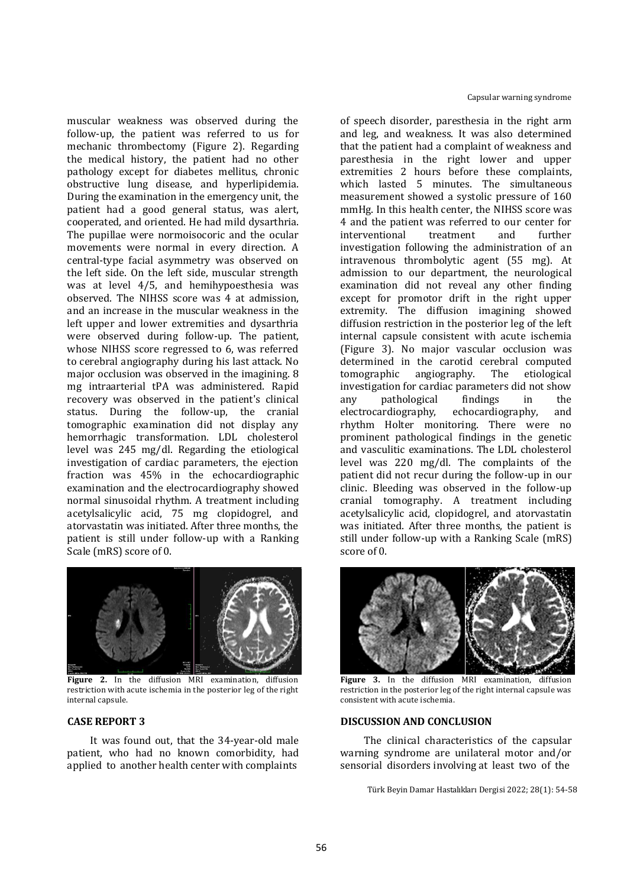muscular weakness was observed during the follow-up, the patient was referred to us for mechanic thrombectomy (Figure 2). Regarding the medical history, the patient had no other pathology except for diabetes mellitus, chronic obstructive lung disease, and hyperlipidemia. During the examination in the emergency unit, the patient had a good general status, was alert, cooperated, and oriented. He had mild dysarthria. The pupillae were normoisocoric and the ocular movements were normal in every direction. A central-type facial asymmetry was observed on the left side. On the left side, muscular strength was at level 4/5, and hemihypoesthesia was observed. The NIHSS score was 4 at admission, and an increase in the muscular weakness in the left upper and lower extremities and dysarthria were observed during follow-up. The patient, whose NIHSS score regressed to 6, was referred to cerebral angiography during his last attack. No major occlusion was observed in the imagining. 8 mg intraarterial tPA was administered. Rapid recovery was observed in the patient's clinical status. During the follow-up, the cranial tomographic examination did not display any hemorrhagic transformation. LDL cholesterol level was 245 mg/dl. Regarding the etiological investigation of cardiac parameters, the ejection fraction was 45% in the echocardiographic examination and the electrocardiography showed normal sinusoidal rhythm. A treatment including acetylsalicylic acid, 75 mg clopidogrel, and atorvastatin was initiated. After three months, the patient is still under follow-up with a Ranking Scale (mRS) score of 0.



**Figure 2.** In the diffusion MRI examination, diffusion restriction with acute ischemia in the posterior leg of the right internal capsule.

## **CASE REPORT 3**

It was found out, that the 34-year-old male patient, who had no known comorbidity, had applied to another health center with complaints

of speech disorder, paresthesia in the right arm and leg, and weakness. It was also determined that the patient had a complaint of weakness and paresthesia in the right lower and upper extremities 2 hours before these complaints, which lasted 5 minutes. The simultaneous measurement showed a systolic pressure of 160 mmHg. In this health center, the NIHSS score was 4 and the patient was referred to our center for interventional treatment and further investigation following the administration of an intravenous thrombolytic agent (55 mg). At admission to our department, the neurological examination did not reveal any other finding except for promotor drift in the right upper extremity. The diffusion imagining showed diffusion restriction in the posterior leg of the left internal capsule consistent with acute ischemia (Figure 3). No major vascular occlusion was determined in the carotid cerebral computed tomographic angiography. The etiological investigation for cardiac parameters did not show any pathological findings in the electrocardiography, echocardiography, and rhythm Holter monitoring. There were no prominent pathological findings in the genetic and vasculitic examinations. The LDL cholesterol level was 220 mg/dl. The complaints of the patient did not recur during the follow-up in our clinic. Bleeding was observed in the follow-up cranial tomography. A treatment including acetylsalicylic acid, clopidogrel, and atorvastatin was initiated. After three months, the patient is still under follow-up with a Ranking Scale (mRS) score of 0.



**Figure 3.** In the diffusion MRI examination, diffusion restriction in the posterior leg of the right internal capsule was consistent with acute ischemia.

#### **DISCUSSION AND CONCLUSION**

The clinical characteristics of the capsular warning syndrome are unilateral motor and/or sensorial disorders involving at least two of the

Türk Beyin Damar Hastalıkları Dergisi 2022; 28(1): 54-58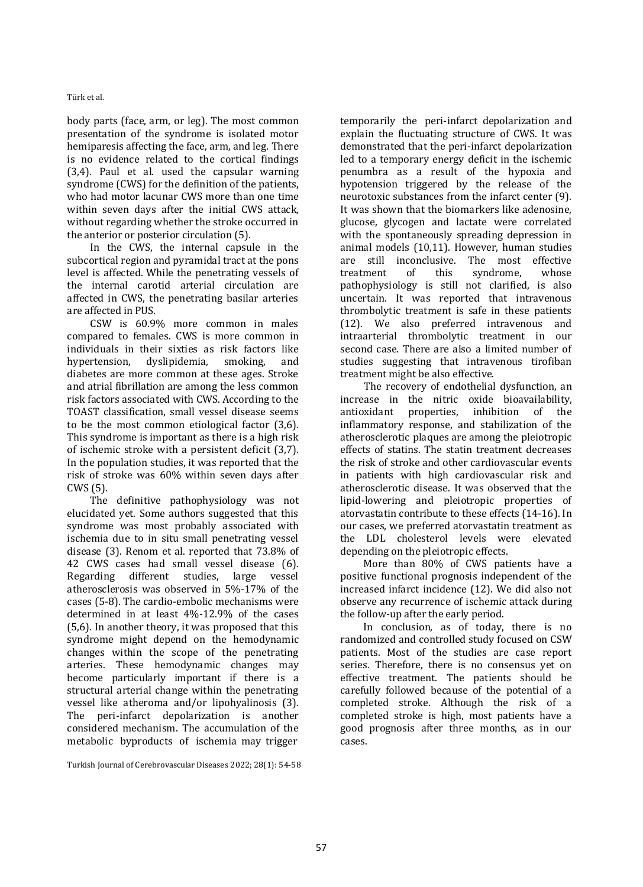Türk et al.

body parts (face, arm, or leg). The most common presentation of the syndrome is isolated motor hemiparesis affecting the face, arm, and leg. There is no evidence related to the cortical findings (3,4). Paul et al. used the capsular warning syndrome (CWS) for the definition of the patients, who had motor lacunar CWS more than one time within seven days after the initial CWS attack, without regarding whether the stroke occurred in the anterior or posterior circulation (5).

In the CWS, the internal capsule in the subcortical region and pyramidal tract at the pons level is affected. While the penetrating vessels of the internal carotid arterial circulation are affected in CWS, the penetrating basilar arteries are affected in PUS.

CSW is 60.9% more common in males compared to females. CWS is more common in individuals in their sixties as risk factors like hypertension, dyslipidemia, smoking, and diabetes are more common at these ages. Stroke and atrial fibrillation are among the less common risk factors associated with CWS. According to the TOAST classification, small vessel disease seems to be the most common etiological factor (3,6). This syndrome is important as there is a high risk of ischemic stroke with a persistent deficit (3,7). In the population studies, it was reported that the risk of stroke was 60% within seven days after CWS (5).

The definitive pathophysiology was not elucidated yet. Some authors suggested that this syndrome was most probably associated with ischemia due to in situ small penetrating vessel disease (3). Renom et al. reported that 73.8% of 42 CWS cases had small vessel disease (6). Regarding different studies, large vessel atherosclerosis was observed in 5%-17% of the cases (5-8). The cardio-embolic mechanisms were determined in at least 4%-12.9% of the cases (5,6). In another theory, it was proposed that this syndrome might depend on the hemodynamic changes within the scope of the penetrating arteries. These hemodynamic changes may become particularly important if there is a structural arterial change within the penetrating vessel like atheroma and/or lipohyalinosis (3). The peri-infarct depolarization is another considered mechanism. The accumulation of the metabolic byproducts of ischemia may trigger

Turkish Journal of Cerebrovascular Diseases 2022; 28(1): 54-58

temporarily the peri-infarct depolarization and explain the fluctuating structure of CWS. It was demonstrated that the peri-infarct depolarization led to a temporary energy deficit in the ischemic penumbra as a result of the hypoxia and hypotension triggered by the release of the neurotoxic substances from the infarct center (9). It was shown that the biomarkers like adenosine, glucose, glycogen and lactate were correlated with the spontaneously spreading depression in animal models (10,11). However, human studies are still inconclusive. The most effective treatment of this syndrome, whose pathophysiology is still not clarified, is also uncertain. It was reported that intravenous thrombolytic treatment is safe in these patients (12). We also preferred intravenous and intraarterial thrombolytic treatment in our second case. There are also a limited number of studies suggesting that intravenous tirofiban treatment might be also effective.

The recovery of endothelial dysfunction, an increase in the nitric oxide bioavailability, antioxidant properties, inhibition of the inflammatory response, and stabilization of the atherosclerotic plaques are among the pleiotropic effects of statins. The statin treatment decreases the risk of stroke and other cardiovascular events in patients with high cardiovascular risk and atherosclerotic disease. It was observed that the lipid-lowering and pleiotropic properties of atorvastatin contribute to these effects (14-16). In our cases, we preferred atorvastatin treatment as the LDL cholesterol levels were elevated depending on the pleiotropic effects.

More than 80% of CWS patients have a positive functional prognosis independent of the increased infarct incidence (12). We did also not observe any recurrence of ischemic attack during the follow-up after the early period.

In conclusion, as of today, there is no randomized and controlled study focused on CSW patients. Most of the studies are case report series. Therefore, there is no consensus yet on effective treatment. The patients should be carefully followed because of the potential of a completed stroke. Although the risk of a completed stroke is high, most patients have a good prognosis after three months, as in our cases.